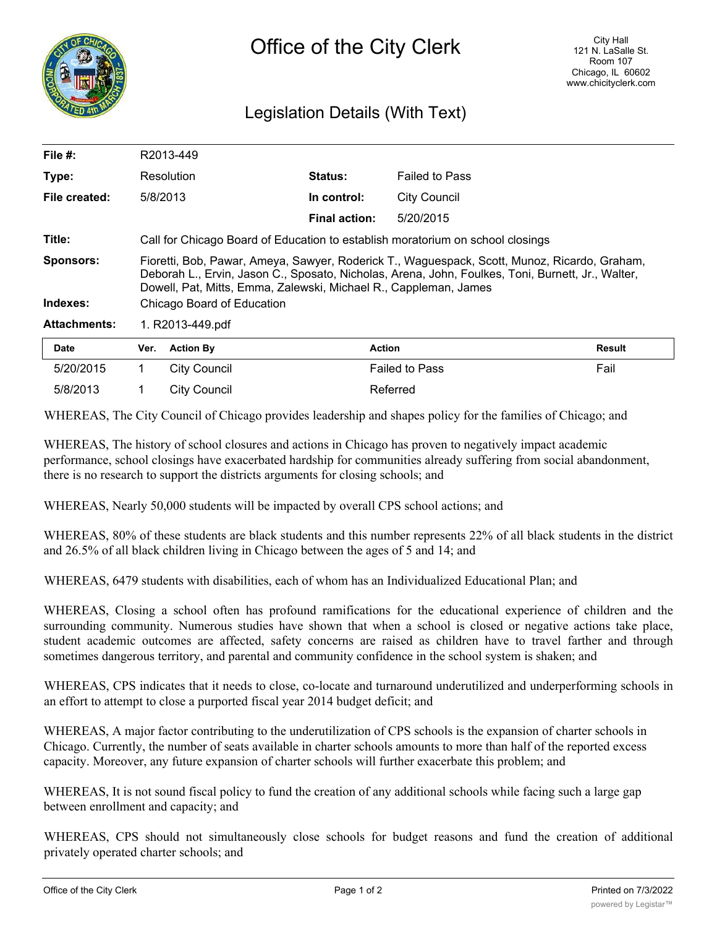

## Legislation Details (With Text)

| <b>Date</b>         | Ver. Action By                                                                                                                                                                                                                                                        | <b>Action</b>        |                       | <b>Result</b> |  |  |  |
|---------------------|-----------------------------------------------------------------------------------------------------------------------------------------------------------------------------------------------------------------------------------------------------------------------|----------------------|-----------------------|---------------|--|--|--|
| <b>Attachments:</b> | 1. R2013-449.pdf                                                                                                                                                                                                                                                      |                      |                       |               |  |  |  |
| Indexes:            | Chicago Board of Education                                                                                                                                                                                                                                            |                      |                       |               |  |  |  |
| Sponsors:           | Fioretti, Bob, Pawar, Ameya, Sawyer, Roderick T., Waguespack, Scott, Munoz, Ricardo, Graham,<br>Deborah L., Ervin, Jason C., Sposato, Nicholas, Arena, John, Foulkes, Toni, Burnett, Jr., Walter,<br>Dowell, Pat, Mitts, Emma, Zalewski, Michael R., Cappleman, James |                      |                       |               |  |  |  |
| Title:              | Call for Chicago Board of Education to establish moratorium on school closings                                                                                                                                                                                        |                      |                       |               |  |  |  |
|                     |                                                                                                                                                                                                                                                                       | <b>Final action:</b> | 5/20/2015             |               |  |  |  |
| File created:       | 5/8/2013                                                                                                                                                                                                                                                              | In control:          | <b>City Council</b>   |               |  |  |  |
| Type:               | Resolution                                                                                                                                                                                                                                                            | Status:              | <b>Failed to Pass</b> |               |  |  |  |
| File $#$ :          | R2013-449                                                                                                                                                                                                                                                             |                      |                       |               |  |  |  |

| <b>Date</b> | Ver. | <b>Action By</b> | Action                | <b>Result</b> |
|-------------|------|------------------|-----------------------|---------------|
| 5/20/2015   |      | City Council     | <b>Failed to Pass</b> | Fail          |
| 5/8/2013    |      | City Council     | Referred              |               |

WHEREAS, The City Council of Chicago provides leadership and shapes policy for the families of Chicago; and

WHEREAS, The history of school closures and actions in Chicago has proven to negatively impact academic performance, school closings have exacerbated hardship for communities already suffering from social abandonment, there is no research to support the districts arguments for closing schools; and

WHEREAS, Nearly 50,000 students will be impacted by overall CPS school actions; and

WHEREAS, 80% of these students are black students and this number represents 22% of all black students in the district and 26.5% of all black children living in Chicago between the ages of 5 and 14; and

WHEREAS, 6479 students with disabilities, each of whom has an Individualized Educational Plan; and

WHEREAS, Closing a school often has profound ramifications for the educational experience of children and the surrounding community. Numerous studies have shown that when a school is closed or negative actions take place, student academic outcomes are affected, safety concerns are raised as children have to travel farther and through sometimes dangerous territory, and parental and community confidence in the school system is shaken; and

WHEREAS, CPS indicates that it needs to close, co-locate and turnaround underutilized and underperforming schools in an effort to attempt to close a purported fiscal year 2014 budget deficit; and

WHEREAS, A major factor contributing to the underutilization of CPS schools is the expansion of charter schools in Chicago. Currently, the number of seats available in charter schools amounts to more than half of the reported excess capacity. Moreover, any future expansion of charter schools will further exacerbate this problem; and

WHEREAS, It is not sound fiscal policy to fund the creation of any additional schools while facing such a large gap between enrollment and capacity; and

WHEREAS, CPS should not simultaneously close schools for budget reasons and fund the creation of additional privately operated charter schools; and